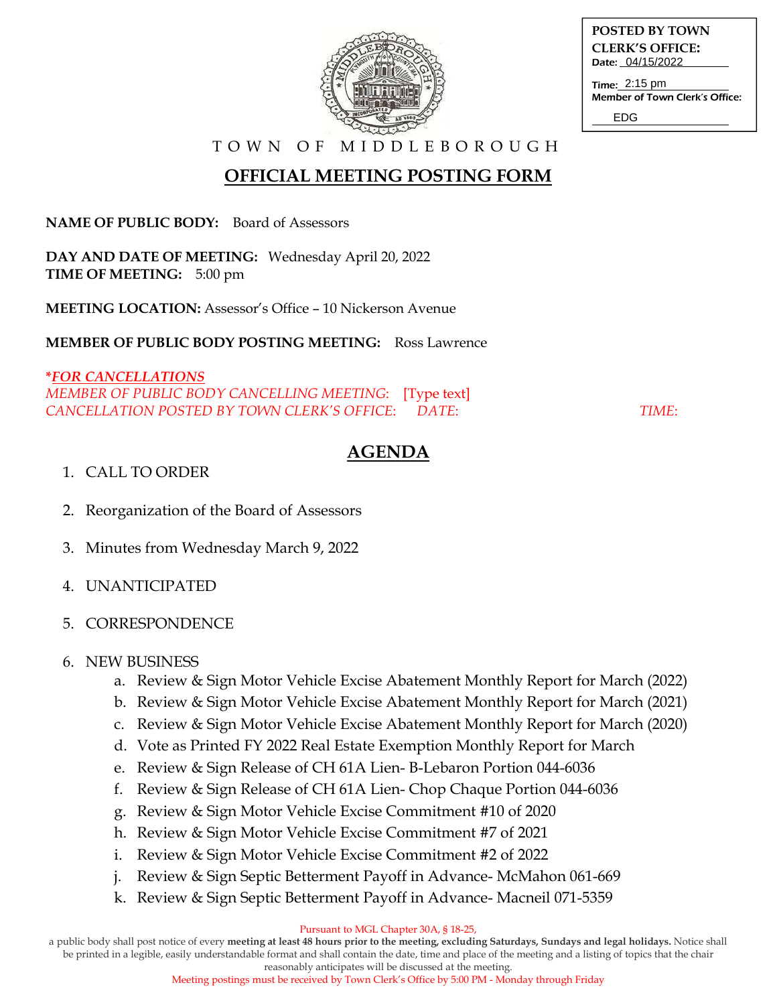

**POSTED BY TOWN CLERK'S OFFICE:** Date: 04/15/2022

Time: 2:15 pm Member of Town Clerk's Office:

EDG

T O W N O F M I D D L E B O R O U G H

# **OFFICIAL MEETING POSTING FORM**

**NAME OF PUBLIC BODY:** Board of Assessors

**DAY AND DATE OF MEETING:** Wednesday April 20, 2022 **TIME OF MEETING:** 5:00 pm

**MEETING LOCATION:** Assessor's Office – 10 Nickerson Avenue

**MEMBER OF PUBLIC BODY POSTING MEETING:** Ross Lawrence

#### **\****FOR CANCELLATIONS MEMBER OF PUBLIC BODY CANCELLING MEETING*: [Type text] *CANCELLATION POSTED BY TOWN CLERK'S OFFICE*: *DATE*: *TIME*:

## **AGENDA**

### 1. CALL TO ORDER

- 2. Reorganization of the Board of Assessors
- 3. Minutes from Wednesday March 9, 2022
- 4. UNANTICIPATED
- 5. CORRESPONDENCE

### 6. NEW BUSINESS

- a. Review & Sign Motor Vehicle Excise Abatement Monthly Report for March (2022)
- b. Review & Sign Motor Vehicle Excise Abatement Monthly Report for March (2021)
- c. Review & Sign Motor Vehicle Excise Abatement Monthly Report for March (2020)
- d. Vote as Printed FY 2022 Real Estate Exemption Monthly Report for March
- e. Review & Sign Release of CH 61A Lien- B-Lebaron Portion 044-6036
- f. Review & Sign Release of CH 61A Lien- Chop Chaque Portion 044-6036
- g. Review & Sign Motor Vehicle Excise Commitment #10 of 2020
- h. Review & Sign Motor Vehicle Excise Commitment #7 of 2021
- i. Review & Sign Motor Vehicle Excise Commitment #2 of 2022
- Review & Sign Septic Betterment Payoff in Advance- McMahon 061-669
- k. Review & Sign Septic Betterment Payoff in Advance- Macneil 071-5359

Pursuant to MGL Chapter 30A, § 18-25,

a public body shall post notice of every **meeting at least 48 hours prior to the meeting, excluding Saturdays, Sundays and legal holidays.** Notice shall be printed in a legible, easily understandable format and shall contain the date, time and place of the meeting and a listing of topics that the chair

reasonably anticipates will be discussed at the meeting.